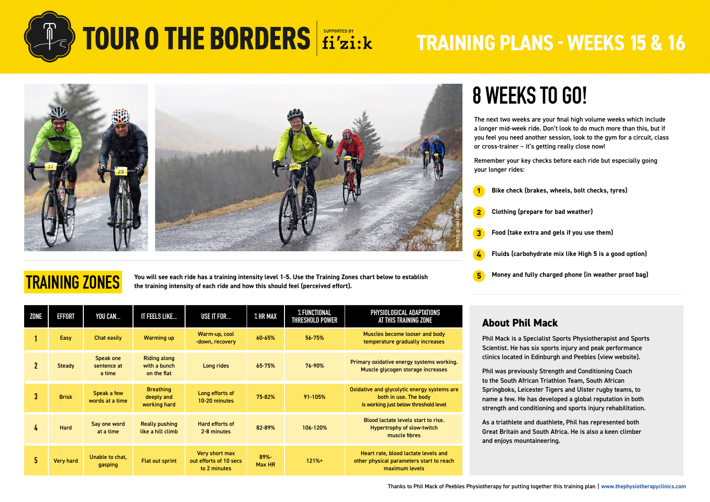



**You will see each ride has a training intensity level 1-5. Use the Training Zones chart below to establish** 

## **8 WEEKS TO GO!**

The next two weeks are your final high volume weeks which include a longer mid-week ride. Don't look to do much more than this, but if you feel you need another session, look to the gym for a circuit, class or cross-trainer – it's getting really close now!

Remember your key checks before each ride but especially going your longer rides:

**5 4 3 2 1 Bike check (brakes, wheels, bolt checks, tyres) Clothing (prepare for bad weather) Food (take extra and gels if you use them) Fluids (carbohydrate mix like High 5 is a good option) Money and fully charged phone (in weather proof bag)**

## **TRAINING ZONES**

**the training intensity of each ride and how this should feel (perceived effort).**

| <b>ZONE</b>  | <b>EFFORT</b> | YOU CAN                            | IT FEELS LIKE                                      | USE IT FOR                                               | % HR MAX       | % FUNCTIONAL<br>THRESHOLD POWER | PHYSIOLOGICAL ADAPTATIONS<br>AT THIS TRAINING ZONE                                                            |  |
|--------------|---------------|------------------------------------|----------------------------------------------------|----------------------------------------------------------|----------------|---------------------------------|---------------------------------------------------------------------------------------------------------------|--|
|              | Easy          | Chat easily                        | <b>Warming up</b>                                  | Warm-up, cool<br>-down, recovery                         | 60-65%         | 56-75%                          | Muscles become looser and body<br>temperature gradually increases                                             |  |
| $\mathbf{2}$ | <b>Steady</b> | Speak one<br>sentence at<br>a time | <b>Riding along</b><br>with a bunch<br>on the flat | Long rides                                               | 65-75%         | 76-90%                          | Primary oxidative energy systems working.<br>Muscle glycogen storage increases                                |  |
| 3            | <b>Brisk</b>  | Speak a few<br>words at a time     | <b>Breathing</b><br>deeply and<br>working hard     | Long efforts of<br>10-20 minutes                         | 75-82%         | 91-105%                         | Oxidative and glycolytic energy systems are<br>both in use. The body<br>is working just below threshold level |  |
| 4            | Hard          | Say one word<br>at a time          | Really pushing<br>like a hill climb                | Hard efforts of<br>2-8 minutes                           | 82-89%         | 106-120%                        | Blood lactate levels start to rise.<br><b>Hypertrophy of slow-twitch</b><br>muscle fibres                     |  |
| 5            | Very hard     | Unable to chat,<br>gasping         | <b>Flat out sprint</b>                             | Very short max<br>out efforts of 10 secs<br>to 2 minutes | 89%-<br>Max HR | $121% +$                        | Heart rate, blood lactate levels and<br>other physical parameters start to reach<br>maximum levels            |  |

### **About Phil Mack**

Phil Mack is a Specialist Sports Physiotherapist and Sports Scientist. He has six sports injury and peak performance clinics located in Edinburgh and Peebles [\(view website\)](https://thephysiotherapyclinics.com/).

Phil was previously Strength and Conditioning Coach to the South African Triathlon Team, South African Springboks, Leicester Tigers and Ulster rugby teams, to name a few. He has developed a global reputation in both strength and conditioning and sports injury rehabilitation.

As a triathlete and duathlete, Phil has represented both Great Britain and South Africa. He is also a keen climber and enjoys mountaineering.